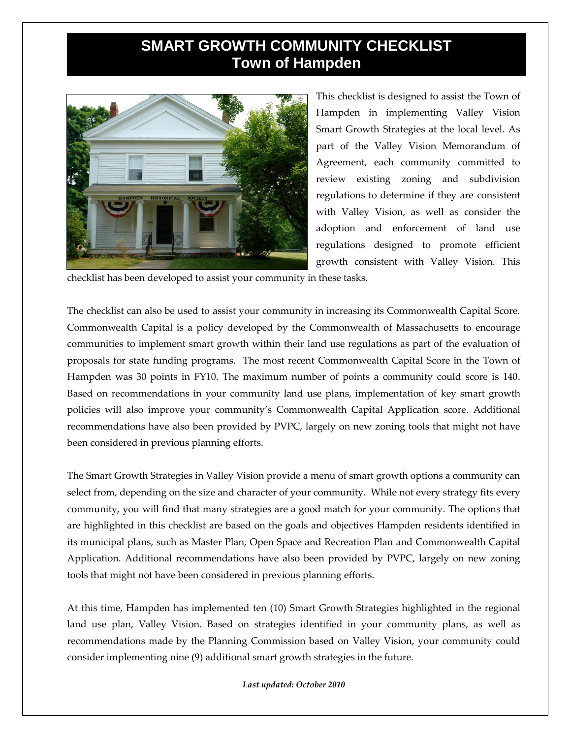## **SMART GROWTH COMMUNITY CHECKLIST Town of Hampden**



This checklist is designed to assist the Town of Hampden in implementing Valley Vision Smart Growth Strategies at the local level. As part of the Valley Vision Memorandum of Agreement, each community committed to review existing zoning and subdivision regulations to determine if they are consistent with Valley Vision, as well as consider the adoption and enforcement of land use regulations designed to promote efficient growth consistent with Valley Vision. This

checklist has been developed to assist your community in these tasks.

The checklist can also be used to assist your community in increasing its Commonwealth Capital Score. Commonwealth Capital is a policy developed by the Commonwealth of Massachusetts to encourage communities to implement smart growth within their land use regulations as part of the evaluation of proposals for state funding programs. The most recent Commonwealth Capital Score in the Town of Hampden was 30 points in FY10. The maximum number of points a community could score is 140. Based on recommendations in your community land use plans, implementation of key smart growth policies will also improve your community's Commonwealth Capital Application score. Additional recommendations have also been provided by PVPC, largely on new zoning tools that might not have been considered in previous planning efforts.

The Smart Growth Strategies in Valley Vision provide a menu of smart growth options a community can select from, depending on the size and character of your community. While not every strategy fits every community, you will find that many strategies are a good match for your community. The options that are highlighted in this checklist are based on the goals and objectives Hampden residents identified in its municipal plans, such as Master Plan, Open Space and Recreation Plan and Commonwealth Capital Application. Additional recommendations have also been provided by PVPC, largely on new zoning tools that might not have been considered in previous planning efforts.

At this time, Hampden has implemented ten (10) Smart Growth Strategies highlighted in the regional land use plan, Valley Vision. Based on strategies identified in your community plans, as well as recommendations made by the Planning Commission based on Valley Vision, your community could consider implementing nine (9) additional smart growth strategies in the future.

*Last updated: October 2010*